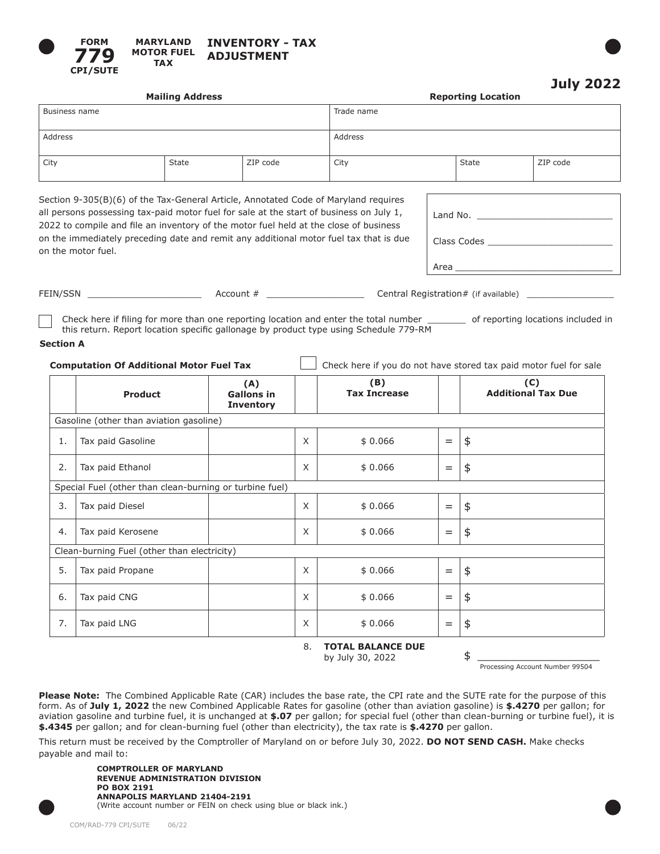



|               | <b>Mailing Address</b> |          | <b>Reporting Location</b> |       |          |  |
|---------------|------------------------|----------|---------------------------|-------|----------|--|
| Business name |                        |          | Trade name                |       |          |  |
| Address       |                        |          | Address                   |       |          |  |
| City          | State                  | ZIP code | City                      | State | ZIP code |  |

| Section 9-305(B)(6) of the Tax-General Article, Annotated Code of Maryland requires     |
|-----------------------------------------------------------------------------------------|
| all persons possessing tax-paid motor fuel for sale at the start of business on July 1, |
| 2022 to compile and file an inventory of the motor fuel held at the close of business   |
| on the immediately preceding date and remit any additional motor fuel tax that is due   |
| on the motor fuel.                                                                      |
|                                                                                         |

| Land No. |
|----------|
|          |
| Area     |

FEIN/SSN **EXECULL Account #**  $\blacksquare$  Account #  $\blacksquare$  Central Registration # (if available)

Check here if filing for more than one reporting location and enter the total number \_\_\_\_\_\_\_ of reporting locations included in this return. Report location specific gallonage by product type using Schedule 779-RM

## **Section A**

| <b>Computation Of Additional Motor Fuel Tax</b> |  |  | $\Box$ Check here if you do not have stored tax paid motor fuel for sale |
|-------------------------------------------------|--|--|--------------------------------------------------------------------------|
|                                                 |  |  |                                                                          |

|                                                         | <b>Product</b>                          | (A)<br><b>Gallons in</b><br><b>Inventory</b> |        | (B)<br><b>Tax Increase</b> |     | (C)<br><b>Additional Tax Due</b> |  |
|---------------------------------------------------------|-----------------------------------------|----------------------------------------------|--------|----------------------------|-----|----------------------------------|--|
|                                                         | Gasoline (other than aviation gasoline) |                                              |        |                            |     |                                  |  |
| 1.                                                      | Tax paid Gasoline                       |                                              | X      | \$0.066                    | $=$ | $\frac{4}{5}$                    |  |
| 2.                                                      | Tax paid Ethanol                        |                                              | X      | \$0.066                    | $=$ | \$                               |  |
| Special Fuel (other than clean-burning or turbine fuel) |                                         |                                              |        |                            |     |                                  |  |
| 3.                                                      | Tax paid Diesel                         |                                              | X      | \$0.066                    | $=$ | $\frac{4}{5}$                    |  |
| 4.                                                      | Tax paid Kerosene                       |                                              | X      | \$0.066                    | $=$ | \$                               |  |
| Clean-burning Fuel (other than electricity)             |                                         |                                              |        |                            |     |                                  |  |
| 5.                                                      | Tax paid Propane                        |                                              | X      | \$0.066                    | $=$ | \$                               |  |
| 6.                                                      | Tax paid CNG                            |                                              | X      | \$0.066                    | $=$ | $\frac{4}{5}$                    |  |
| 7.                                                      | Tax paid LNG                            |                                              | X      | \$0.066                    | $=$ | \$                               |  |
|                                                         |                                         |                                              | $\sim$ |                            |     |                                  |  |

8. **TOTAL BALANCE DUE** by July 30, 2022 \$

Processing Account Number 99504

**Please Note:** The Combined Applicable Rate (CAR) includes the base rate, the CPI rate and the SUTE rate for the purpose of this form. As of **July 1, 2022** the new Combined Applicable Rates for gasoline (other than aviation gasoline) is **\$.4270** per gallon; for aviation gasoline and turbine fuel, it is unchanged at **\$.07** per gallon; for special fuel (other than clean-burning or turbine fuel), it is **\$.4345** per gallon; and for clean-burning fuel (other than electricity), the tax rate is **\$.4270** per gallon.

This return must be received by the Comptroller of Maryland on or before July 30, 2022. **DO NOT SEND CASH.** Make checks payable and mail to:

**COMPTROLLER OF MARYLAND REVENUE ADMINISTRATION DIVISION PO BOX 2191 ANNAPOLIS MARYLAND 21404-2191** (Write account number or FEIN on check using blue or black ink.)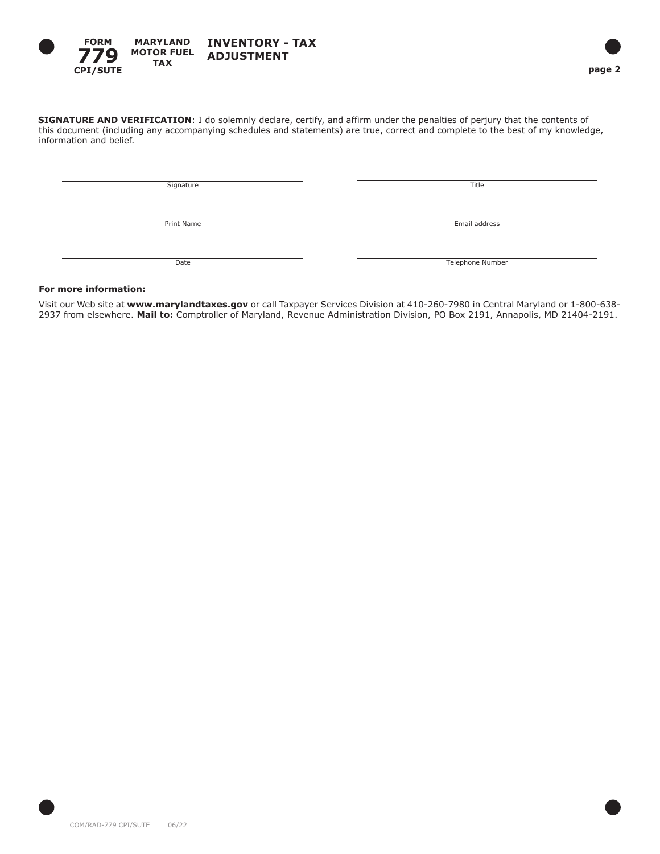

**SIGNATURE AND VERIFICATION**: I do solemnly declare, certify, and affirm under the penalties of perjury that the contents of this document (including any accompanying schedules and statements) are true, correct and complete to the best of my knowledge, information and belief.

Signature Title

Print Name Email address

Date Telephone Number

# **For more information:**

Visit our Web site at **www.marylandtaxes.gov** or call Taxpayer Services Division at 410-260-7980 in Central Maryland or 1-800-638- 2937 from elsewhere. **Mail to:** Comptroller of Maryland, Revenue Administration Division, PO Box 2191, Annapolis, MD 21404-2191.